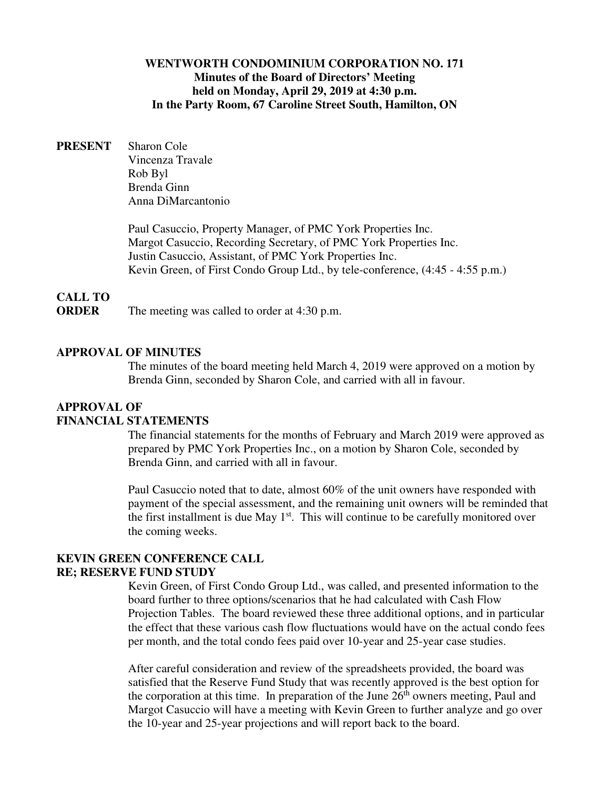#### **WENTWORTH CONDOMINIUM CORPORATION NO. 171 Minutes of the Board of Directors' Meeting held on Monday, April 29, 2019 at 4:30 p.m. In the Party Room, 67 Caroline Street South, Hamilton, ON**

**PRESENT** Sharon Cole Vincenza Travale Rob Byl Brenda Ginn Anna DiMarcantonio

> Paul Casuccio, Property Manager, of PMC York Properties Inc. Margot Casuccio, Recording Secretary, of PMC York Properties Inc. Justin Casuccio, Assistant, of PMC York Properties Inc. Kevin Green, of First Condo Group Ltd., by tele-conference, (4:45 - 4:55 p.m.)

### **CALL TO**

**ORDER** The meeting was called to order at 4:30 p.m.

#### **APPROVAL OF MINUTES**

The minutes of the board meeting held March 4, 2019 were approved on a motion by Brenda Ginn, seconded by Sharon Cole, and carried with all in favour.

#### **APPROVAL OF FINANCIAL STATEMENTS**

The financial statements for the months of February and March 2019 were approved as prepared by PMC York Properties Inc., on a motion by Sharon Cole, seconded by Brenda Ginn, and carried with all in favour.

Paul Casuccio noted that to date, almost 60% of the unit owners have responded with payment of the special assessment, and the remaining unit owners will be reminded that the first installment is due May  $1<sup>st</sup>$ . This will continue to be carefully monitored over the coming weeks.

### **KEVIN GREEN CONFERENCE CALL RE; RESERVE FUND STUDY**

Kevin Green, of First Condo Group Ltd., was called, and presented information to the board further to three options/scenarios that he had calculated with Cash Flow Projection Tables. The board reviewed these three additional options, and in particular the effect that these various cash flow fluctuations would have on the actual condo fees per month, and the total condo fees paid over 10-year and 25-year case studies.

After careful consideration and review of the spreadsheets provided, the board was satisfied that the Reserve Fund Study that was recently approved is the best option for the corporation at this time. In preparation of the June  $26<sup>th</sup>$  owners meeting, Paul and Margot Casuccio will have a meeting with Kevin Green to further analyze and go over the 10-year and 25-year projections and will report back to the board.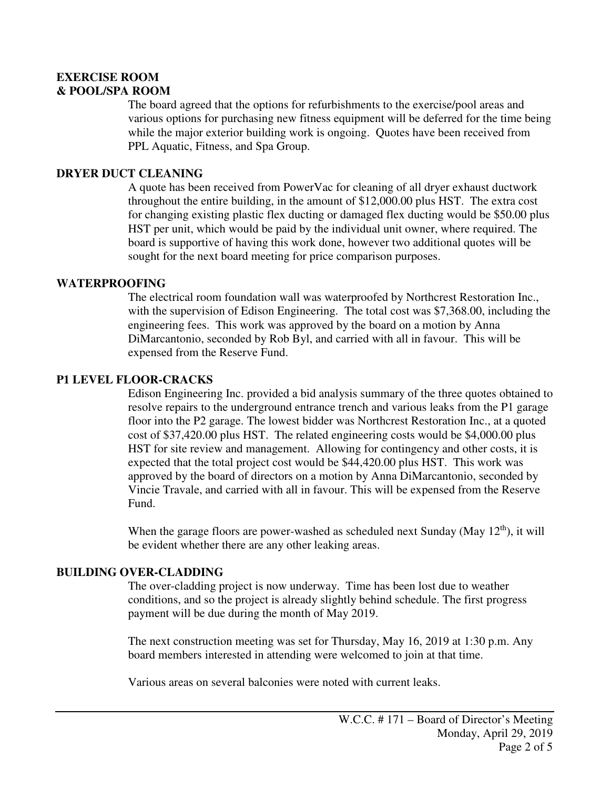### **EXERCISE ROOM & POOL/SPA ROOM**

The board agreed that the options for refurbishments to the exercise/pool areas and various options for purchasing new fitness equipment will be deferred for the time being while the major exterior building work is ongoing. Quotes have been received from PPL Aquatic, Fitness, and Spa Group.

### **DRYER DUCT CLEANING**

A quote has been received from PowerVac for cleaning of all dryer exhaust ductwork throughout the entire building, in the amount of \$12,000.00 plus HST. The extra cost for changing existing plastic flex ducting or damaged flex ducting would be \$50.00 plus HST per unit, which would be paid by the individual unit owner, where required. The board is supportive of having this work done, however two additional quotes will be sought for the next board meeting for price comparison purposes.

#### **WATERPROOFING**

The electrical room foundation wall was waterproofed by Northcrest Restoration Inc., with the supervision of Edison Engineering. The total cost was \$7,368.00, including the engineering fees. This work was approved by the board on a motion by Anna DiMarcantonio, seconded by Rob Byl, and carried with all in favour. This will be expensed from the Reserve Fund.

#### **P1 LEVEL FLOOR-CRACKS**

Edison Engineering Inc. provided a bid analysis summary of the three quotes obtained to resolve repairs to the underground entrance trench and various leaks from the P1 garage floor into the P2 garage. The lowest bidder was Northcrest Restoration Inc., at a quoted cost of \$37,420.00 plus HST. The related engineering costs would be \$4,000.00 plus HST for site review and management. Allowing for contingency and other costs, it is expected that the total project cost would be \$44,420.00 plus HST. This work was approved by the board of directors on a motion by Anna DiMarcantonio, seconded by Vincie Travale, and carried with all in favour. This will be expensed from the Reserve Fund.

When the garage floors are power-washed as scheduled next Sunday (May  $12<sup>th</sup>$ ), it will be evident whether there are any other leaking areas.

### **BUILDING OVER-CLADDING**

The over-cladding project is now underway. Time has been lost due to weather conditions, and so the project is already slightly behind schedule. The first progress payment will be due during the month of May 2019.

The next construction meeting was set for Thursday, May 16, 2019 at 1:30 p.m. Any board members interested in attending were welcomed to join at that time.

Various areas on several balconies were noted with current leaks.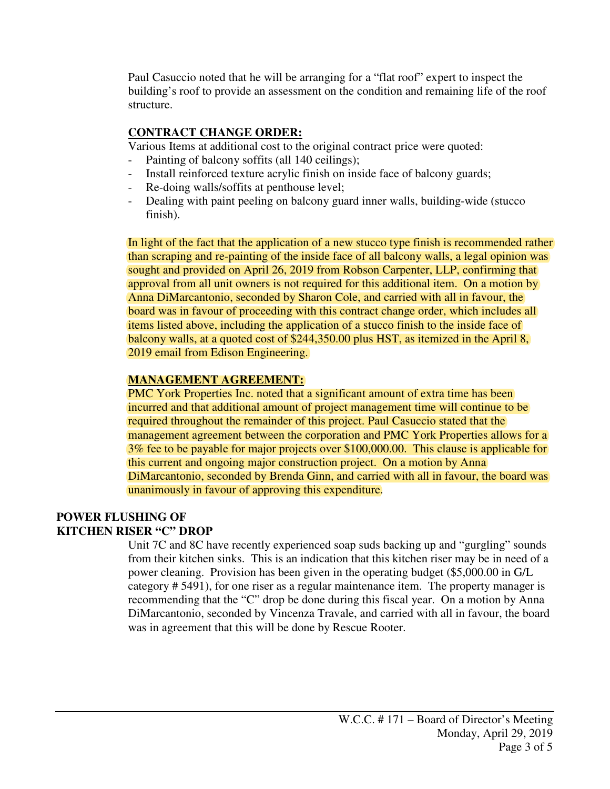Paul Casuccio noted that he will be arranging for a "flat roof" expert to inspect the building's roof to provide an assessment on the condition and remaining life of the roof structure.

# **CONTRACT CHANGE ORDER:**

Various Items at additional cost to the original contract price were quoted:

- Painting of balcony soffits (all 140 ceilings);
- Install reinforced texture acrylic finish on inside face of balcony guards;
- Re-doing walls/soffits at penthouse level;
- Dealing with paint peeling on balcony guard inner walls, building-wide (stucco finish).

In light of the fact that the application of a new stucco type finish is recommended rather than scraping and re-painting of the inside face of all balcony walls, a legal opinion was sought and provided on April 26, 2019 from Robson Carpenter, LLP, confirming that approval from all unit owners is not required for this additional item. On a motion by Anna DiMarcantonio, seconded by Sharon Cole, and carried with all in favour, the board was in favour of proceeding with this contract change order, which includes all items listed above, including the application of a stucco finish to the inside face of balcony walls, at a quoted cost of \$244,350.00 plus HST, as itemized in the April 8, 2019 email from Edison Engineering.

# **MANAGEMENT AGREEMENT:**

PMC York Properties Inc. noted that a significant amount of extra time has been incurred and that additional amount of project management time will continue to be required throughout the remainder of this project. Paul Casuccio stated that the management agreement between the corporation and PMC York Properties allows for a 3% fee to be payable for major projects over \$100,000.00. This clause is applicable for this current and ongoing major construction project. On a motion by Anna DiMarcantonio, seconded by Brenda Ginn, and carried with all in favour, the board was unanimously in favour of approving this expenditure.

# **POWER FLUSHING OF KITCHEN RISER "C" DROP**

Unit 7C and 8C have recently experienced soap suds backing up and "gurgling" sounds from their kitchen sinks. This is an indication that this kitchen riser may be in need of a power cleaning. Provision has been given in the operating budget (\$5,000.00 in G/L category # 5491), for one riser as a regular maintenance item. The property manager is recommending that the "C" drop be done during this fiscal year. On a motion by Anna DiMarcantonio, seconded by Vincenza Travale, and carried with all in favour, the board was in agreement that this will be done by Rescue Rooter.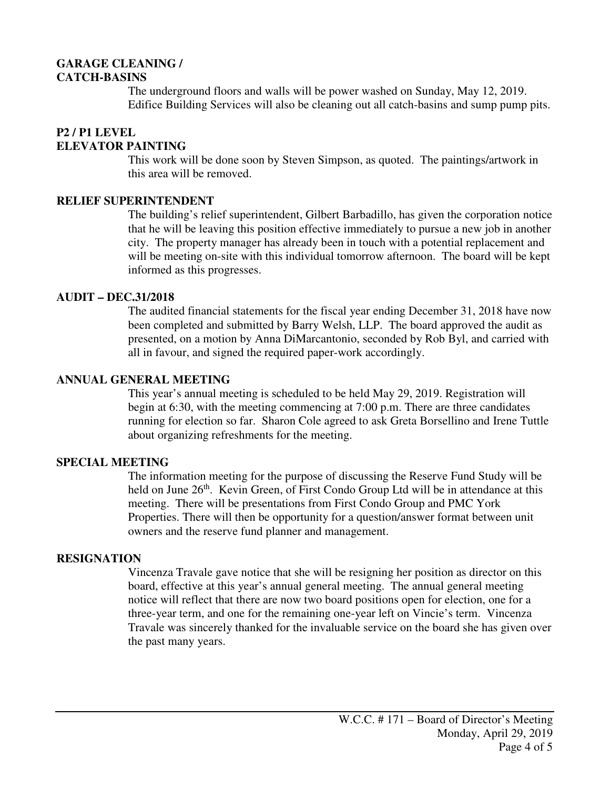### **GARAGE CLEANING / CATCH-BASINS**

The underground floors and walls will be power washed on Sunday, May 12, 2019. Edifice Building Services will also be cleaning out all catch-basins and sump pump pits.

# **P2 / P1 LEVEL ELEVATOR PAINTING**

This work will be done soon by Steven Simpson, as quoted. The paintings/artwork in this area will be removed.

### **RELIEF SUPERINTENDENT**

The building's relief superintendent, Gilbert Barbadillo, has given the corporation notice that he will be leaving this position effective immediately to pursue a new job in another city. The property manager has already been in touch with a potential replacement and will be meeting on-site with this individual tomorrow afternoon. The board will be kept informed as this progresses.

### **AUDIT – DEC.31/2018**

The audited financial statements for the fiscal year ending December 31, 2018 have now been completed and submitted by Barry Welsh, LLP. The board approved the audit as presented, on a motion by Anna DiMarcantonio, seconded by Rob Byl, and carried with all in favour, and signed the required paper-work accordingly.

### **ANNUAL GENERAL MEETING**

This year's annual meeting is scheduled to be held May 29, 2019. Registration will begin at 6:30, with the meeting commencing at 7:00 p.m. There are three candidates running for election so far. Sharon Cole agreed to ask Greta Borsellino and Irene Tuttle about organizing refreshments for the meeting.

# **SPECIAL MEETING**

The information meeting for the purpose of discussing the Reserve Fund Study will be held on June 26<sup>th</sup>. Kevin Green, of First Condo Group Ltd will be in attendance at this meeting. There will be presentations from First Condo Group and PMC York Properties. There will then be opportunity for a question/answer format between unit owners and the reserve fund planner and management.

# **RESIGNATION**

Vincenza Travale gave notice that she will be resigning her position as director on this board, effective at this year's annual general meeting. The annual general meeting notice will reflect that there are now two board positions open for election, one for a three-year term, and one for the remaining one-year left on Vincie's term. Vincenza Travale was sincerely thanked for the invaluable service on the board she has given over the past many years.